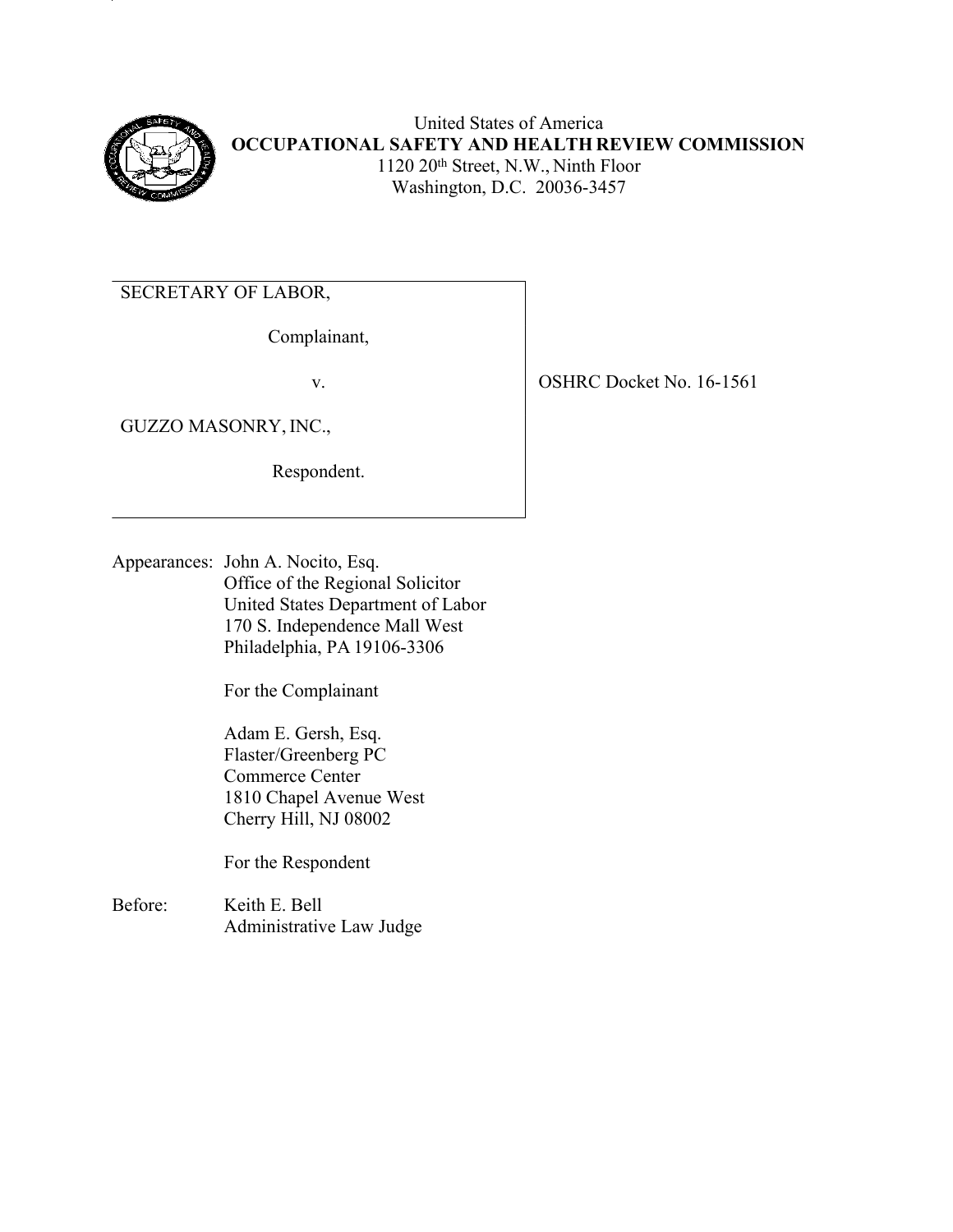

United States of America **OCCUPATIONAL SAFETY AND HEALTH REVIEW COMMISSION** 1120 20th Street, N.W., Ninth Floor Washington, D.C. 20036-3457

SECRETARY OF LABOR,

Complainant,

GUZZO MASONRY, INC.,

Respondent.

v. SHRC Docket No. 16-1561

Appearances: John A. Nocito, Esq. Office of the Regional Solicitor United States Department of Labor 170 S. Independence Mall West Philadelphia, PA 19106-3306

For the Complainant

Adam E. Gersh, Esq. Flaster/Greenberg PC Commerce Center 1810 Chapel Avenue West Cherry Hill, NJ 08002

For the Respondent

Before: Keith E. Bell Administrative Law Judge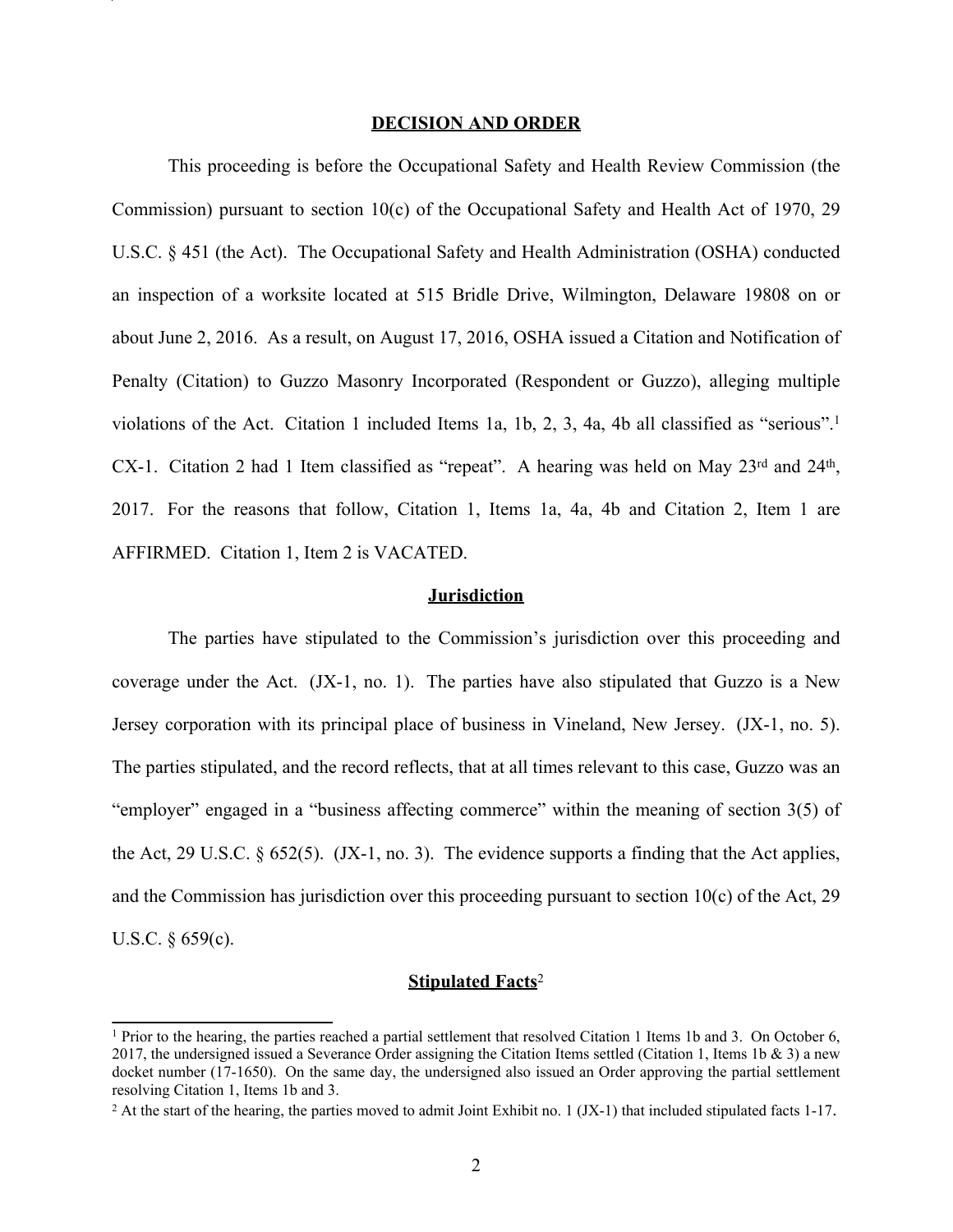#### **DECISION AND ORDER**

This proceeding is before the Occupational Safety and Health Review Commission (the Commission) pursuant to section 10(c) of the Occupational Safety and Health Act of 1970, 29 U.S.C. § 451 (the Act). The Occupational Safety and Health Administration (OSHA) conducted an inspection of a worksite located at 515 Bridle Drive, Wilmington, Delaware 19808 on or about June 2, 2016. As a result, on August 17, 2016, OSHA issued a Citation and Notification of Penalty (Citation) to Guzzo Masonry Incorporated (Respondent or Guzzo), alleging multiple violations of the Act. Citation 1 included Items 1a, 1b, 2, 3, 4a, 4b all classified as "serious".<sup>1</sup> CX-1. Citation 2 had 1 Item classified as "repeat". A hearing was held on May  $23^{\text{rd}}$  and  $24^{\text{th}}$ , 2017. For the reasons that follow, Citation 1, Items 1a, 4a, 4b and Citation 2, Item 1 are AFFIRMED. Citation 1, Item 2 is VACATED.

#### **Jurisdiction**

The parties have stipulated to the Commission's jurisdiction over this proceeding and coverage under the Act. (JX-1, no. 1). The parties have also stipulated that Guzzo is a New Jersey corporation with its principal place of business in Vineland, New Jersey. (JX-1, no. 5). The parties stipulated, and the record reflects, that at all times relevant to this case, Guzzo was an "employer" engaged in a "business affecting commerce" within the meaning of section 3(5) of the Act, 29 U.S.C. § 652(5). (JX-1, no. 3). The evidence supports a finding that the Act applies, and the Commission has jurisdiction over this proceeding pursuant to section 10(c) of the Act, 29 U.S.C. § 659(c).

# **Stipulated Facts**<sup>2</sup>

<sup>1</sup> Prior to the hearing, the parties reached a partial settlement that resolved Citation 1 Items 1b and 3. On October 6, 2017, the undersigned issued a Severance Order assigning the Citation Items settled (Citation 1, Items 1b  $\&$  3) a new docket number (17-1650). On the same day, the undersigned also issued an Order approving the partial settlement resolving Citation 1, Items 1b and 3.

<sup>&</sup>lt;sup>2</sup> At the start of the hearing, the parties moved to admit Joint Exhibit no. 1 (JX-1) that included stipulated facts 1-17.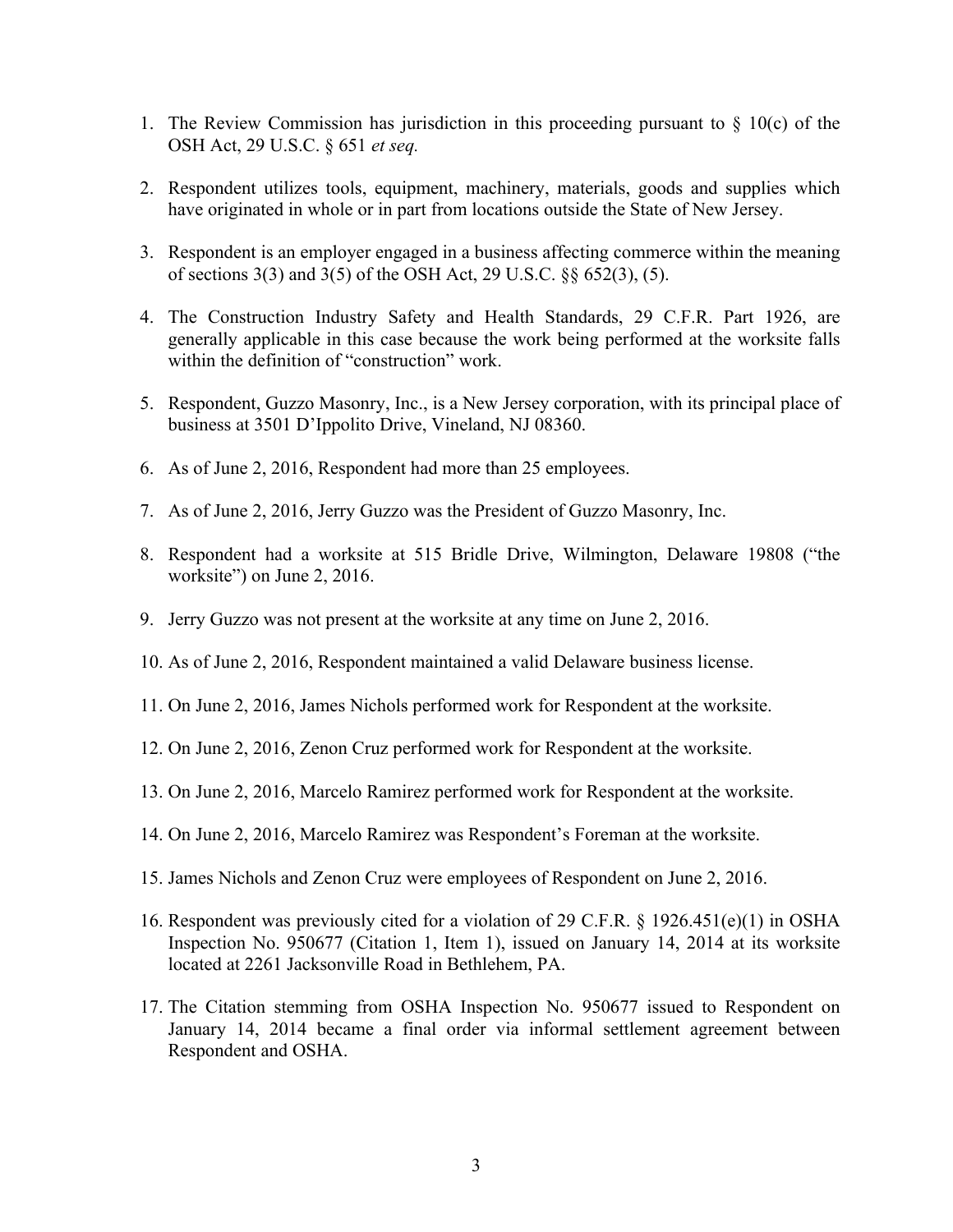- 1. The Review Commission has jurisdiction in this proceeding pursuant to  $\S$  10(c) of the OSH Act, 29 U.S.C. § 651 *et seq.*
- 2. Respondent utilizes tools, equipment, machinery, materials, goods and supplies which have originated in whole or in part from locations outside the State of New Jersey.
- 3. Respondent is an employer engaged in a business affecting commerce within the meaning of sections 3(3) and 3(5) of the OSH Act, 29 U.S.C. §§ 652(3), (5).
- 4. The Construction Industry Safety and Health Standards, 29 C.F.R. Part 1926, are generally applicable in this case because the work being performed at the worksite falls within the definition of "construction" work.
- 5. Respondent, Guzzo Masonry, Inc., is a New Jersey corporation, with its principal place of business at 3501 D'Ippolito Drive, Vineland, NJ 08360.
- 6. As of June 2, 2016, Respondent had more than 25 employees.
- 7. As of June 2, 2016, Jerry Guzzo was the President of Guzzo Masonry, Inc.
- 8. Respondent had a worksite at 515 Bridle Drive, Wilmington, Delaware 19808 ("the worksite") on June 2, 2016.
- 9. Jerry Guzzo was not present at the worksite at any time on June 2, 2016.
- 10. As of June 2, 2016, Respondent maintained a valid Delaware business license.
- 11. On June 2, 2016, James Nichols performed work for Respondent at the worksite.
- 12. On June 2, 2016, Zenon Cruz performed work for Respondent at the worksite.
- 13. On June 2, 2016, Marcelo Ramirez performed work for Respondent at the worksite.
- 14. On June 2, 2016, Marcelo Ramirez was Respondent's Foreman at the worksite.
- 15. James Nichols and Zenon Cruz were employees of Respondent on June 2, 2016.
- 16. Respondent was previously cited for a violation of 29 C.F.R. § 1926.451(e)(1) in OSHA Inspection No. 950677 (Citation 1, Item 1), issued on January 14, 2014 at its worksite located at 2261 Jacksonville Road in Bethlehem, PA.
- 17. The Citation stemming from OSHA Inspection No. 950677 issued to Respondent on January 14, 2014 became a final order via informal settlement agreement between Respondent and OSHA.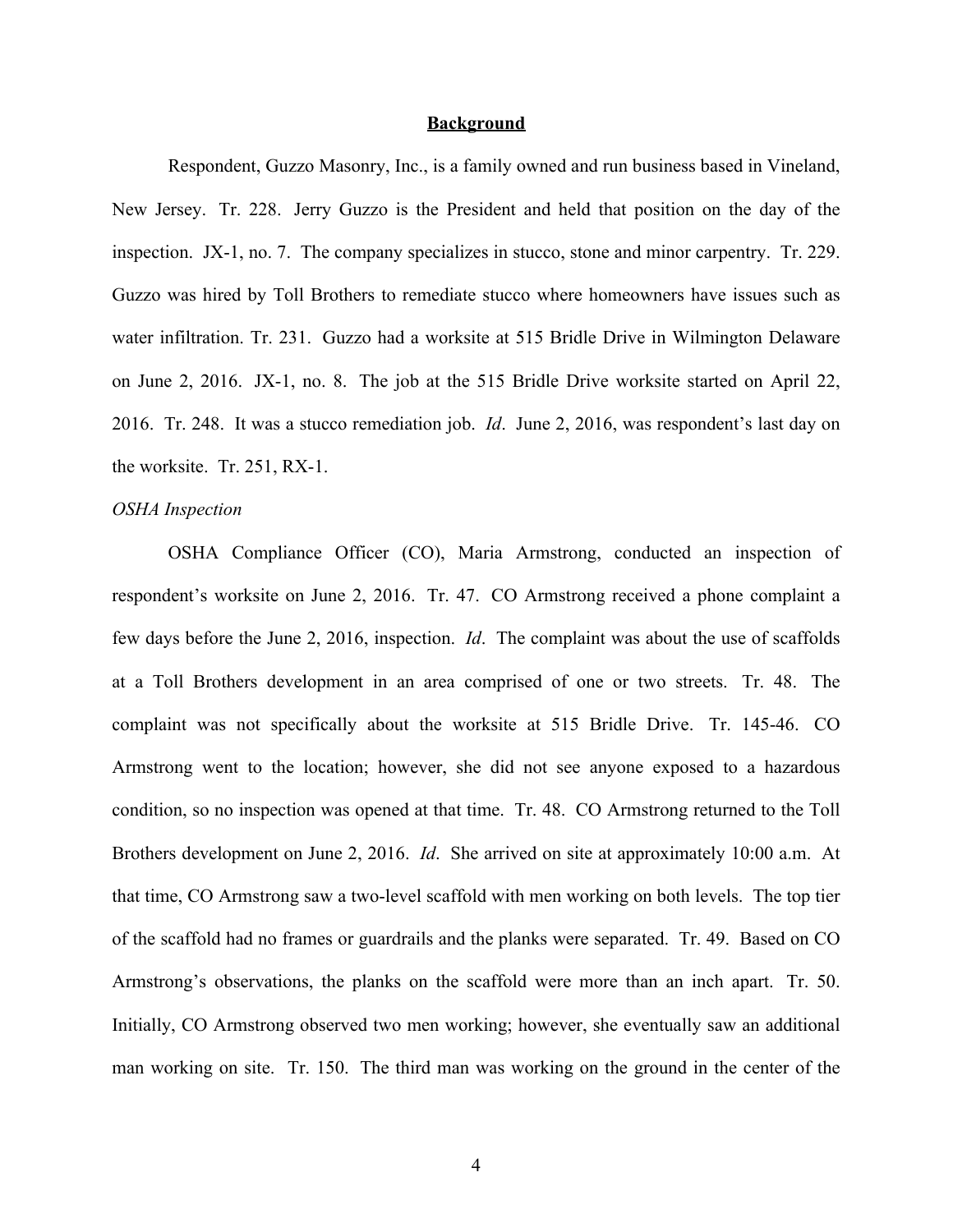### **Background**

Respondent, Guzzo Masonry, Inc., is a family owned and run business based in Vineland, New Jersey. Tr. 228. Jerry Guzzo is the President and held that position on the day of the inspection. JX-1, no. 7. The company specializes in stucco, stone and minor carpentry. Tr. 229. Guzzo was hired by Toll Brothers to remediate stucco where homeowners have issues such as water infiltration. Tr. 231. Guzzo had a worksite at 515 Bridle Drive in Wilmington Delaware on June 2, 2016. JX-1, no. 8. The job at the 515 Bridle Drive worksite started on April 22, 2016. Tr. 248. It was a stucco remediation job. *Id*. June 2, 2016, was respondent's last day on the worksite. Tr. 251, RX-1.

#### *OSHA Inspection*

OSHA Compliance Officer (CO), Maria Armstrong, conducted an inspection of respondent's worksite on June 2, 2016. Tr. 47. CO Armstrong received a phone complaint a few days before the June 2, 2016, inspection. *Id*. The complaint was about the use of scaffolds at a Toll Brothers development in an area comprised of one or two streets. Tr. 48. The complaint was not specifically about the worksite at 515 Bridle Drive. Tr. 145-46. CO Armstrong went to the location; however, she did not see anyone exposed to a hazardous condition, so no inspection was opened at that time. Tr. 48. CO Armstrong returned to the Toll Brothers development on June 2, 2016. *Id*. She arrived on site at approximately 10:00 a.m. At that time, CO Armstrong saw a two-level scaffold with men working on both levels. The top tier of the scaffold had no frames or guardrails and the planks were separated. Tr. 49. Based on CO Armstrong's observations, the planks on the scaffold were more than an inch apart. Tr. 50. Initially, CO Armstrong observed two men working; however, she eventually saw an additional man working on site. Tr. 150. The third man was working on the ground in the center of the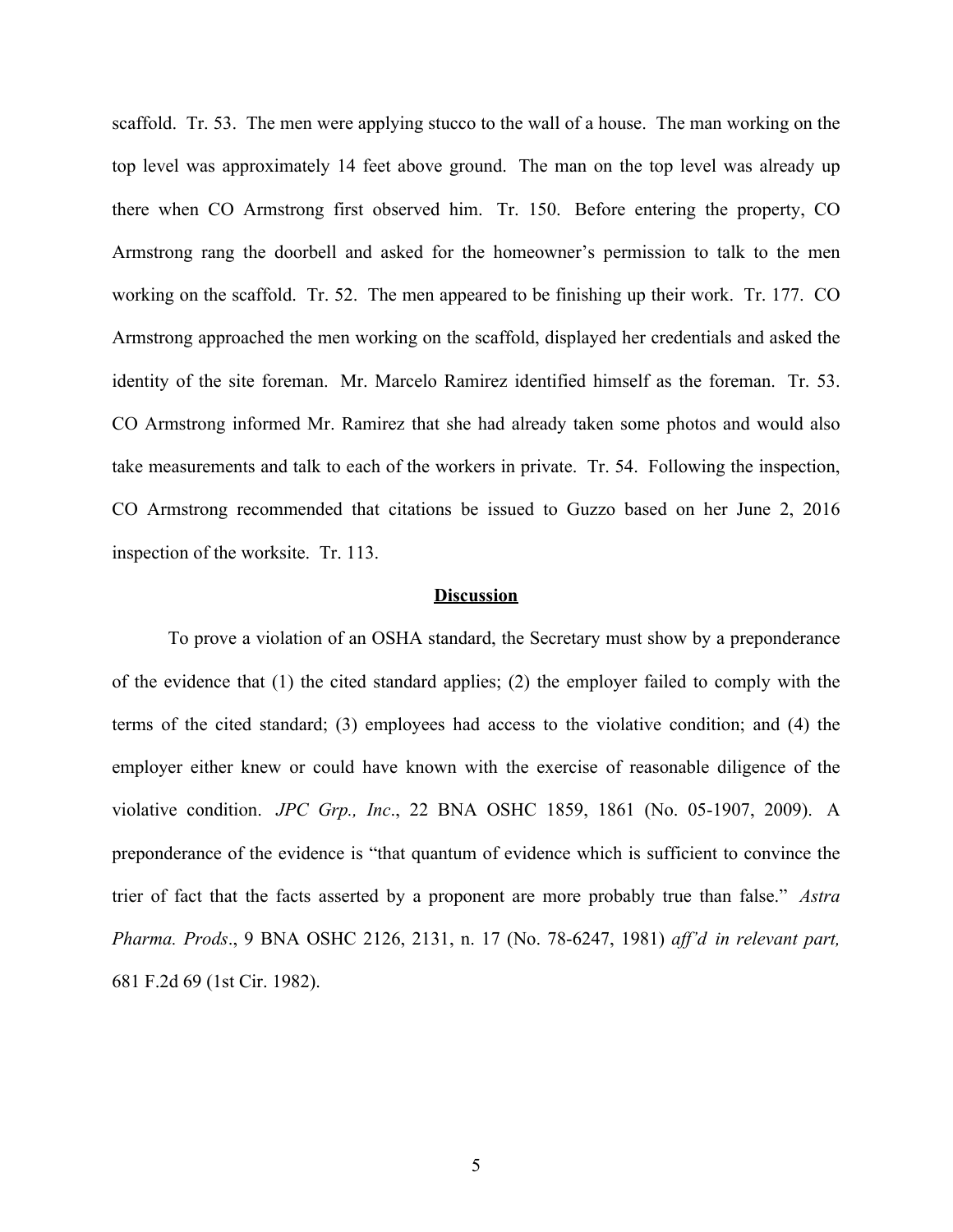scaffold. Tr. 53. The men were applying stucco to the wall of a house. The man working on the top level was approximately 14 feet above ground. The man on the top level was already up there when CO Armstrong first observed him. Tr. 150. Before entering the property, CO Armstrong rang the doorbell and asked for the homeowner's permission to talk to the men working on the scaffold. Tr. 52. The men appeared to be finishing up their work. Tr. 177. CO Armstrong approached the men working on the scaffold, displayed her credentials and asked the identity of the site foreman. Mr. Marcelo Ramirez identified himself as the foreman. Tr. 53. CO Armstrong informed Mr. Ramirez that she had already taken some photos and would also take measurements and talk to each of the workers in private. Tr. 54. Following the inspection, CO Armstrong recommended that citations be issued to Guzzo based on her June 2, 2016 inspection of the worksite. Tr. 113.

### **Discussion**

To prove a violation of an OSHA standard, the Secretary must show by a preponderance of the evidence that (1) the cited standard applies; (2) the employer failed to comply with the terms of the cited standard; (3) employees had access to the violative condition; and (4) the employer either knew or could have known with the exercise of reasonable diligence of the violative condition. *JPC Grp., Inc*., 22 BNA OSHC 1859, 1861 (No. 05-1907, 2009). A preponderance of the evidence is "that quantum of evidence which is sufficient to convince the trier of fact that the facts asserted by a proponent are more probably true than false." *Astra Pharma. Prods*., 9 BNA OSHC 2126, 2131, n. 17 (No. 78-6247, 1981) *aff'd in relevant part,* 681 F.2d 69 (1st Cir. 1982).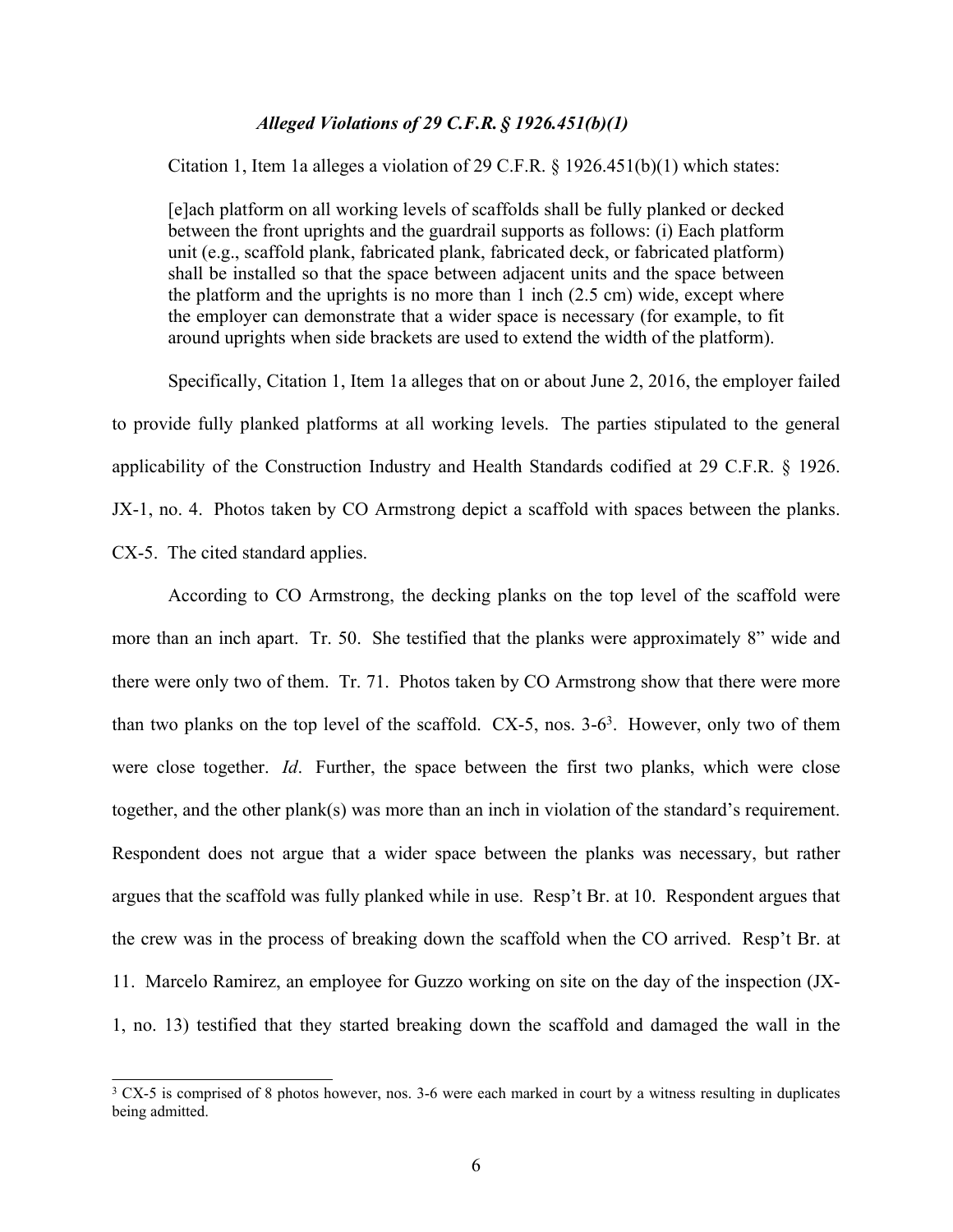## *Alleged Violations of 29 C.F.R. § 1926.451(b)(1)*

Citation 1, Item 1a alleges a violation of 29 C.F.R. § 1926.451(b)(1) which states:

[e]ach platform on all working levels of scaffolds shall be fully planked or decked between the front uprights and the guardrail supports as follows: (i) Each platform unit (e.g., scaffold plank, fabricated plank, fabricated deck, or fabricated platform) shall be installed so that the space between adjacent units and the space between the platform and the uprights is no more than 1 inch (2.5 cm) wide, except where the employer can demonstrate that a wider space is necessary (for example, to fit around uprights when side brackets are used to extend the width of the platform).

Specifically, Citation 1, Item 1a alleges that on or about June 2, 2016, the employer failed to provide fully planked platforms at all working levels. The parties stipulated to the general applicability of the Construction Industry and Health Standards codified at 29 C.F.R. § 1926. JX-1, no. 4. Photos taken by CO Armstrong depict a scaffold with spaces between the planks. CX-5. The cited standard applies.

According to CO Armstrong, the decking planks on the top level of the scaffold were more than an inch apart. Tr. 50. She testified that the planks were approximately 8" wide and there were only two of them. Tr. 71. Photos taken by CO Armstrong show that there were more than two planks on the top level of the scaffold.  $CX-5$ , nos.  $3-6<sup>3</sup>$ . However, only two of them were close together. *Id*. Further, the space between the first two planks, which were close together, and the other plank(s) was more than an inch in violation of the standard's requirement. Respondent does not argue that a wider space between the planks was necessary, but rather argues that the scaffold was fully planked while in use. Resp't Br. at 10. Respondent argues that the crew was in the process of breaking down the scaffold when the CO arrived. Resp't Br. at 11. Marcelo Ramirez, an employee for Guzzo working on site on the day of the inspection (JX-1, no. 13) testified that they started breaking down the scaffold and damaged the wall in the

<sup>&</sup>lt;sup>3</sup> CX-5 is comprised of 8 photos however, nos. 3-6 were each marked in court by a witness resulting in duplicates being admitted.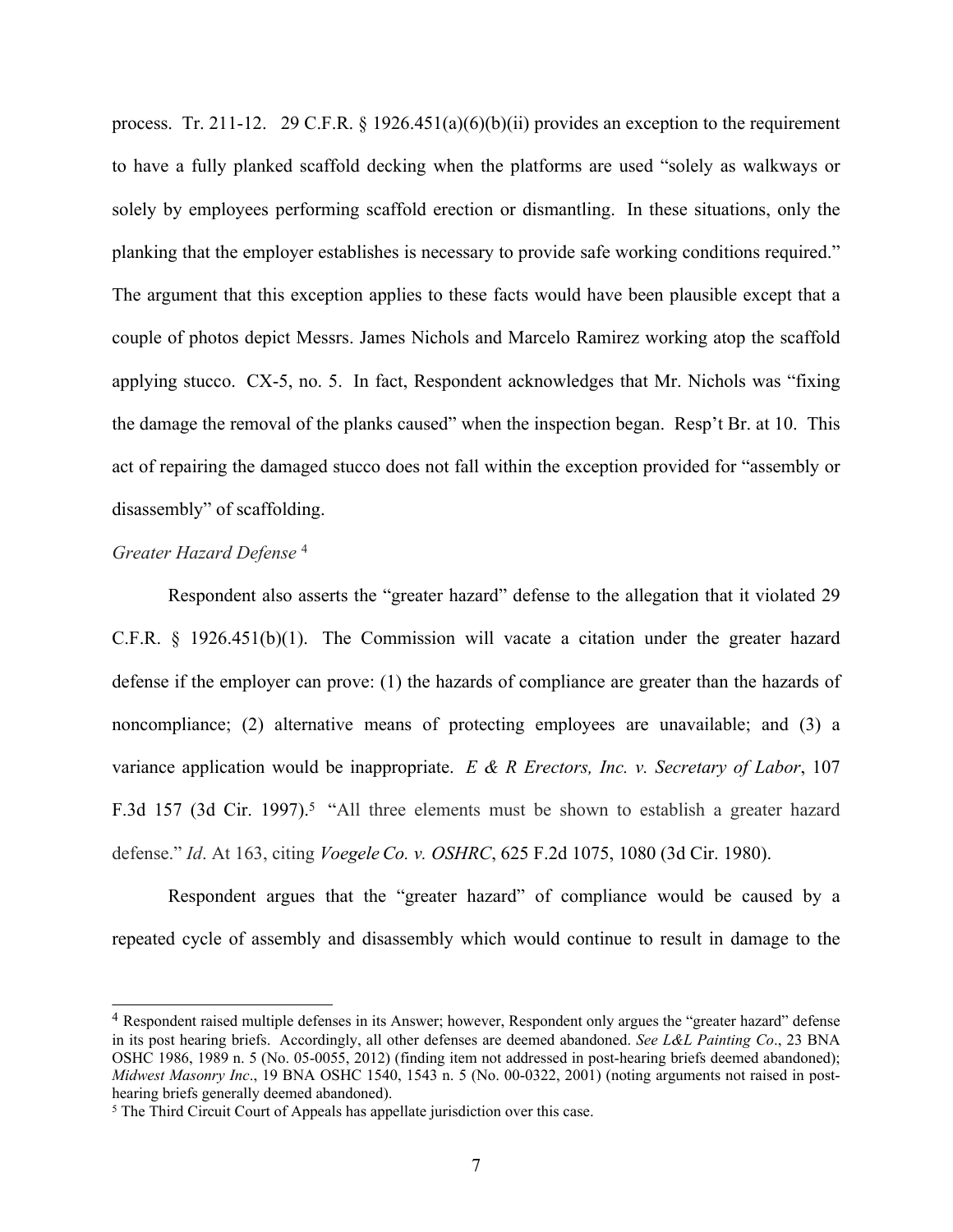process. Tr. 211-12. 29 C.F.R. § 1926.451(a)(6)(b)(ii) provides an exception to the requirement to have a fully planked scaffold decking when the platforms are used "solely as walkways or solely by employees performing scaffold erection or dismantling. In these situations, only the planking that the employer establishes is necessary to provide safe working conditions required." The argument that this exception applies to these facts would have been plausible except that a couple of photos depict Messrs. James Nichols and Marcelo Ramirez working atop the scaffold applying stucco. CX-5, no. 5. In fact, Respondent acknowledges that Mr. Nichols was "fixing the damage the removal of the planks caused" when the inspection began. Resp't Br. at 10. This act of repairing the damaged stucco does not fall within the exception provided for "assembly or disassembly" of scaffolding.

### *Greater Hazard Defense* <sup>4</sup>

Respondent also asserts the "greater hazard" defense to the allegation that it violated 29 C.F.R. § 1926.451(b)(1). The Commission will vacate a citation under the greater hazard defense if the employer can prove: (1) the hazards of compliance are greater than the hazards of noncompliance; (2) alternative means of protecting employees are unavailable; and (3) a variance application would be inappropriate. *E & R Erectors, Inc. v. Secretary of Labor*, 107 F.3d 157 (3d Cir. 1997).<sup>5</sup> "All three elements must be shown to establish a greater hazard defense." *Id*. At 163, citing *[Voegele](https://advance.lexis.com/api/document/collection/cases/id/3S4X-CCD0-0039-W4KS-00000-00?page=1080&reporter=1102&context=1000516) [Co.](https://advance.lexis.com/api/document/collection/cases/id/3S4X-CCD0-0039-W4KS-00000-00?page=1080&reporter=1102&context=1000516) [v.](https://advance.lexis.com/api/document/collection/cases/id/3S4X-CCD0-0039-W4KS-00000-00?page=1080&reporter=1102&context=1000516) [OSHRC](https://advance.lexis.com/api/document/collection/cases/id/3S4X-CCD0-0039-W4KS-00000-00?page=1080&reporter=1102&context=1000516)*[,](https://advance.lexis.com/api/document/collection/cases/id/3S4X-CCD0-0039-W4KS-00000-00?page=1080&reporter=1102&context=1000516) [625](https://advance.lexis.com/api/document/collection/cases/id/3S4X-CCD0-0039-W4KS-00000-00?page=1080&reporter=1102&context=1000516) [F.2d](https://advance.lexis.com/api/document/collection/cases/id/3S4X-CCD0-0039-W4KS-00000-00?page=1080&reporter=1102&context=1000516) [1075,](https://advance.lexis.com/api/document/collection/cases/id/3S4X-CCD0-0039-W4KS-00000-00?page=1080&reporter=1102&context=1000516) [1080](https://advance.lexis.com/api/document/collection/cases/id/3S4X-CCD0-0039-W4KS-00000-00?page=1080&reporter=1102&context=1000516) [\(3d](https://advance.lexis.com/api/document/collection/cases/id/3S4X-CCD0-0039-W4KS-00000-00?page=1080&reporter=1102&context=1000516) [Cir.](https://advance.lexis.com/api/document/collection/cases/id/3S4X-CCD0-0039-W4KS-00000-00?page=1080&reporter=1102&context=1000516) [1980\).](https://advance.lexis.com/api/document/collection/cases/id/3S4X-CCD0-0039-W4KS-00000-00?page=1080&reporter=1102&context=1000516)

Respondent argues that the "greater hazard" of compliance would be caused by a repeated cycle of assembly and disassembly which would continue to result in damage to the

<sup>4</sup> Respondent raised multiple defenses in its Answer; however, Respondent only argues the "greater hazard" defense in its post hearing briefs. Accordingly, all other defenses are deemed abandoned. *See L&L Painting Co*., 23 BNA OSHC 1986, 1989 n. 5 (No. 05-0055, 2012) (finding item not addressed in post-hearing briefs deemed abandoned); *Midwest Masonry Inc*., 19 BNA OSHC 1540, 1543 n. 5 (No. 00-0322, 2001) (noting arguments not raised in posthearing briefs generally deemed abandoned).

<sup>&</sup>lt;sup>5</sup> The Third Circuit Court of Appeals has appellate jurisdiction over this case.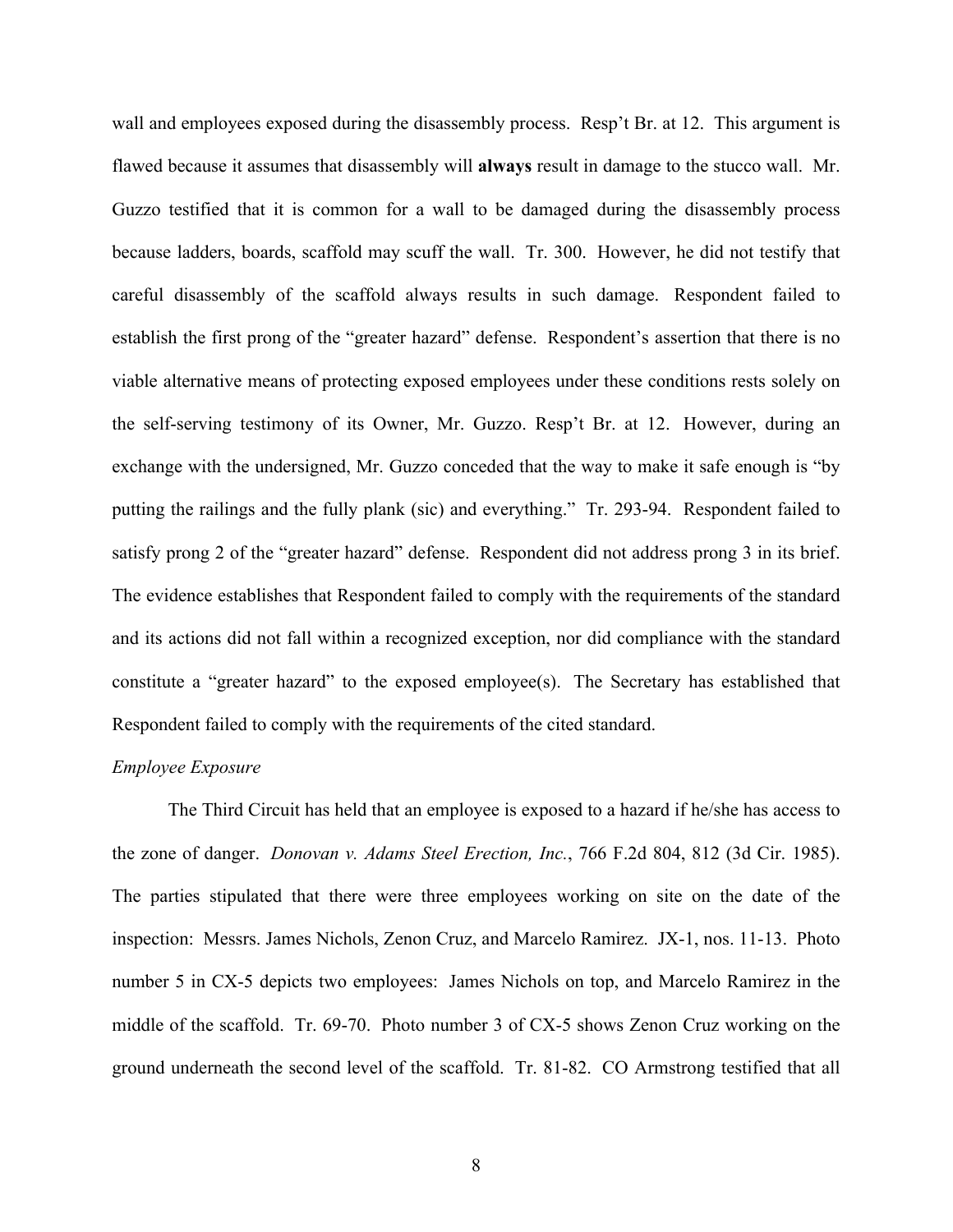wall and employees exposed during the disassembly process. Resp't Br. at 12. This argument is flawed because it assumes that disassembly will **always** result in damage to the stucco wall. Mr. Guzzo testified that it is common for a wall to be damaged during the disassembly process because ladders, boards, scaffold may scuff the wall. Tr. 300. However, he did not testify that careful disassembly of the scaffold always results in such damage. Respondent failed to establish the first prong of the "greater hazard" defense. Respondent's assertion that there is no viable alternative means of protecting exposed employees under these conditions rests solely on the self-serving testimony of its Owner, Mr. Guzzo. Resp't Br. at 12. However, during an exchange with the undersigned, Mr. Guzzo conceded that the way to make it safe enough is "by putting the railings and the fully plank (sic) and everything." Tr. 293-94. Respondent failed to satisfy prong 2 of the "greater hazard" defense. Respondent did not address prong 3 in its brief. The evidence establishes that Respondent failed to comply with the requirements of the standard and its actions did not fall within a recognized exception, nor did compliance with the standard constitute a "greater hazard" to the exposed employee(s). The Secretary has established that Respondent failed to comply with the requirements of the cited standard.

## *Employee Exposure*

The Third Circuit has held that an employee is exposed to a hazard if he/she has access to the zone of danger. *Donovan v. Adams Steel Erection, Inc.*, 766 F.2d 804, 812 (3d Cir. 1985). The parties stipulated that there were three employees working on site on the date of the inspection: Messrs. James Nichols, Zenon Cruz, and Marcelo Ramirez. JX-1, nos. 11-13. Photo number 5 in CX-5 depicts two employees: James Nichols on top, and Marcelo Ramirez in the middle of the scaffold. Tr. 69-70. Photo number 3 of CX-5 shows Zenon Cruz working on the ground underneath the second level of the scaffold. Tr. 81-82. CO Armstrong testified that all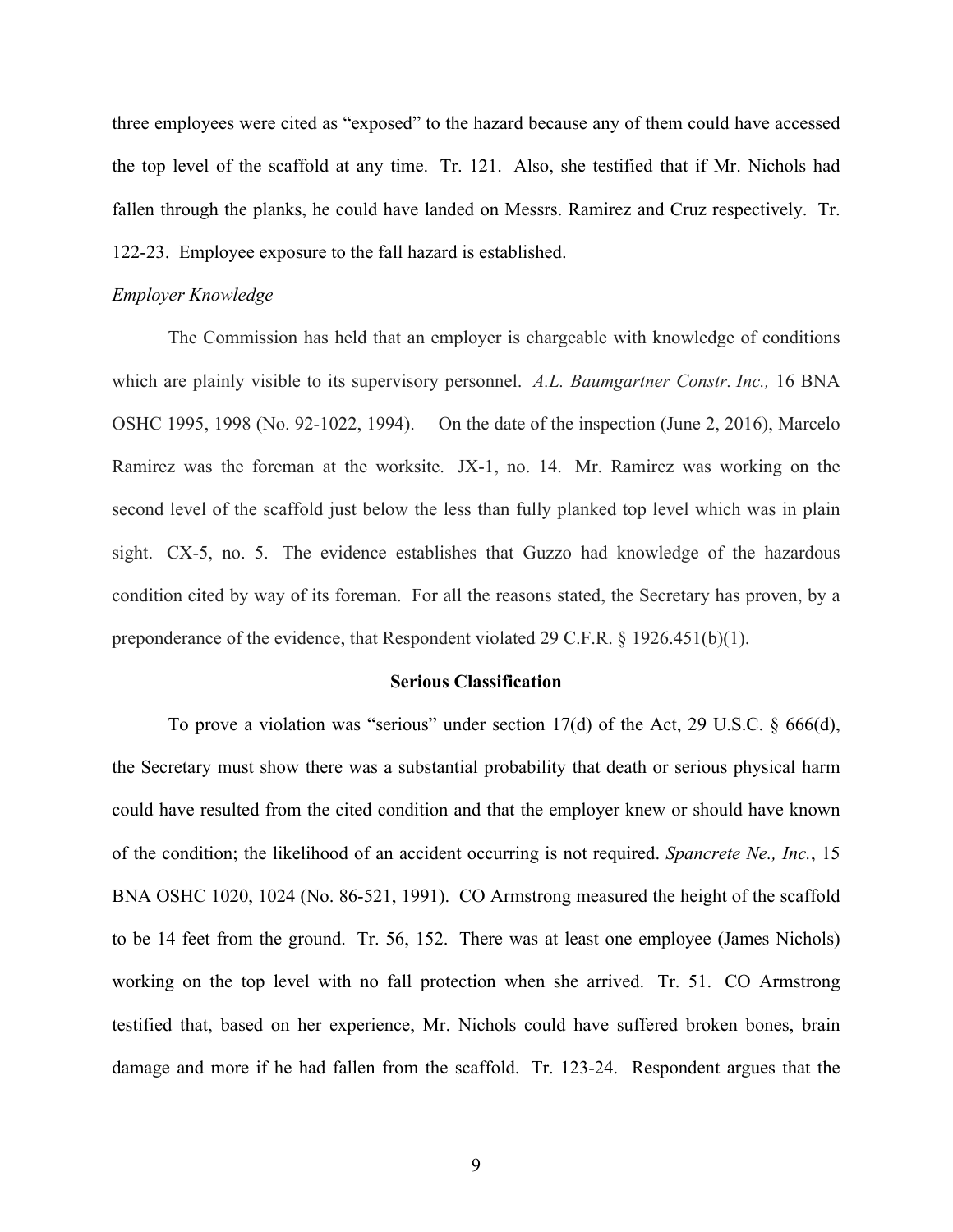three employees were cited as "exposed" to the hazard because any of them could have accessed the top level of the scaffold at any time. Tr. 121. Also, she testified that if Mr. Nichols had fallen through the planks, he could have landed on Messrs. Ramirez and Cruz respectively. Tr. 122-23. Employee exposure to the fall hazard is established.

#### *Employer Knowledge*

The Commission has held that an employer is chargeable with knowledge of conditions which are plainly visible to its supervisory personnel. *A.L. Baumgartner Constr. Inc.,* 16 BNA OSHC 1995, 1998 (No. 92-1022, 1994). On the date of the inspection (June 2, 2016), Marcelo Ramirez was the foreman at the worksite. JX-1, no. 14. Mr. Ramirez was working on the second level of the scaffold just below the less than fully planked top level which was in plain sight. CX-5, no. 5. The evidence establishes that Guzzo had knowledge of the hazardous condition cited by way of its foreman. For all the reasons stated, the Secretary has proven, by a preponderance of the evidence, that Respondent violated 29 C.F.R. § 1926.451(b)(1).

### **Serious Classification**

To prove a violation was "serious" under section 17(d) of the Act, 29 U.S.C. § 666(d), the Secretary must show there was a substantial probability that death or serious physical harm could have resulted from the cited condition and that the employer knew or should have known of the condition; the likelihood of an accident occurring is not required. *Spancrete Ne., Inc.*, 15 BNA OSHC 1020, 1024 (No. 86-521, 1991). CO Armstrong measured the height of the scaffold to be 14 feet from the ground. Tr. 56, 152. There was at least one employee (James Nichols) working on the top level with no fall protection when she arrived. Tr. 51. CO Armstrong testified that, based on her experience, Mr. Nichols could have suffered broken bones, brain damage and more if he had fallen from the scaffold. Tr. 123-24. Respondent argues that the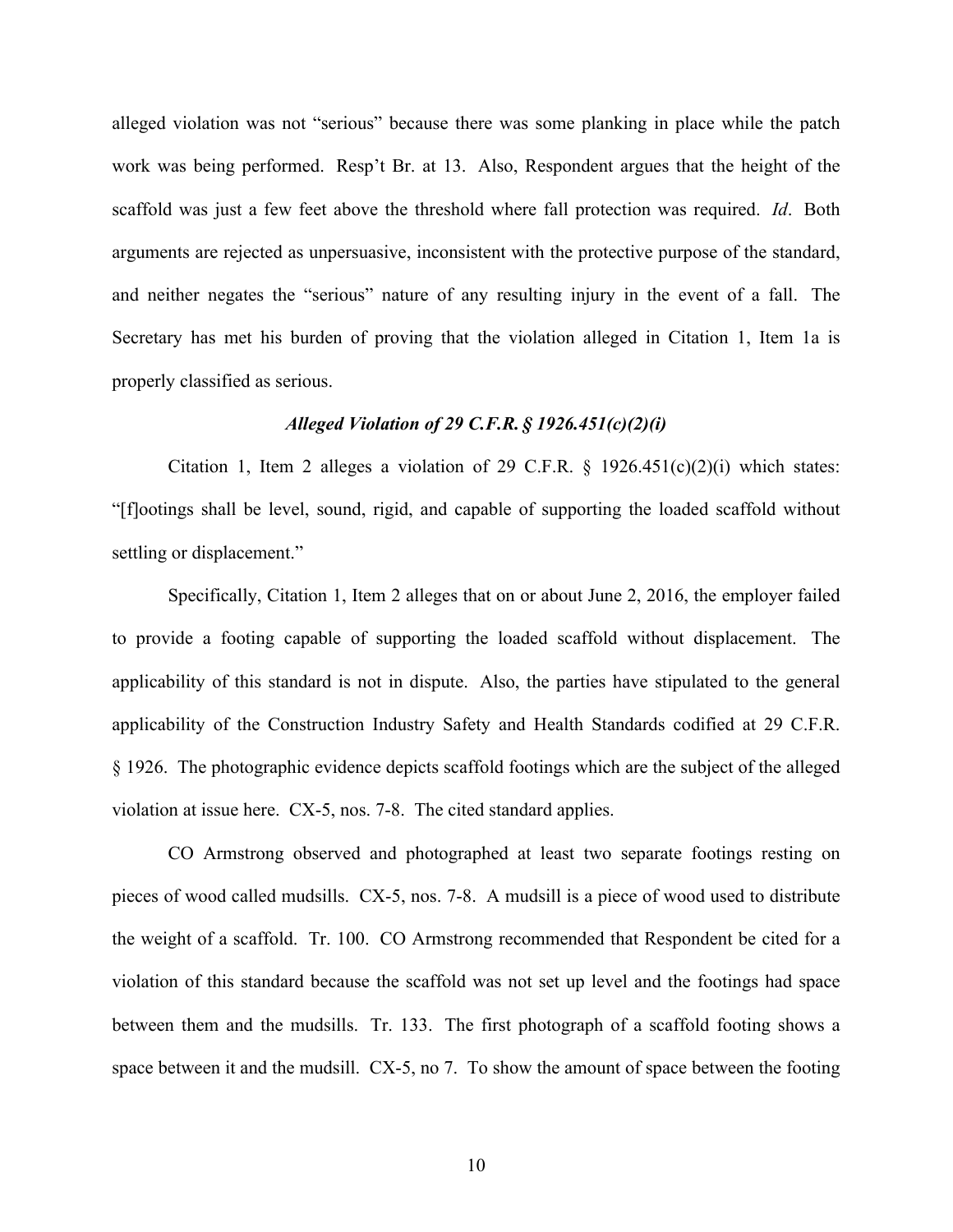alleged violation was not "serious" because there was some planking in place while the patch work was being performed. Resp't Br. at 13. Also, Respondent argues that the height of the scaffold was just a few feet above the threshold where fall protection was required. *Id*. Both arguments are rejected as unpersuasive, inconsistent with the protective purpose of the standard, and neither negates the "serious" nature of any resulting injury in the event of a fall. The Secretary has met his burden of proving that the violation alleged in Citation 1, Item 1a is properly classified as serious.

## *Alleged Violation of 29 C.F.R. § 1926.451(c)(2)(i)*

Citation 1, Item 2 alleges a violation of 29 C.F.R.  $\S$  1926.451(c)(2)(i) which states: "[f]ootings shall be level, sound, rigid, and capable of supporting the loaded scaffold without settling or displacement."

Specifically, Citation 1, Item 2 alleges that on or about June 2, 2016, the employer failed to provide a footing capable of supporting the loaded scaffold without displacement. The applicability of this standard is not in dispute. Also, the parties have stipulated to the general applicability of the Construction Industry Safety and Health Standards codified at 29 C.F.R. § 1926. The photographic evidence depicts scaffold footings which are the subject of the alleged violation at issue here. CX-5, nos. 7-8. The cited standard applies.

CO Armstrong observed and photographed at least two separate footings resting on pieces of wood called mudsills. CX-5, nos. 7-8. A mudsill is a piece of wood used to distribute the weight of a scaffold. Tr. 100. CO Armstrong recommended that Respondent be cited for a violation of this standard because the scaffold was not set up level and the footings had space between them and the mudsills. Tr. 133. The first photograph of a scaffold footing shows a space between it and the mudsill. CX-5, no 7. To show the amount of space between the footing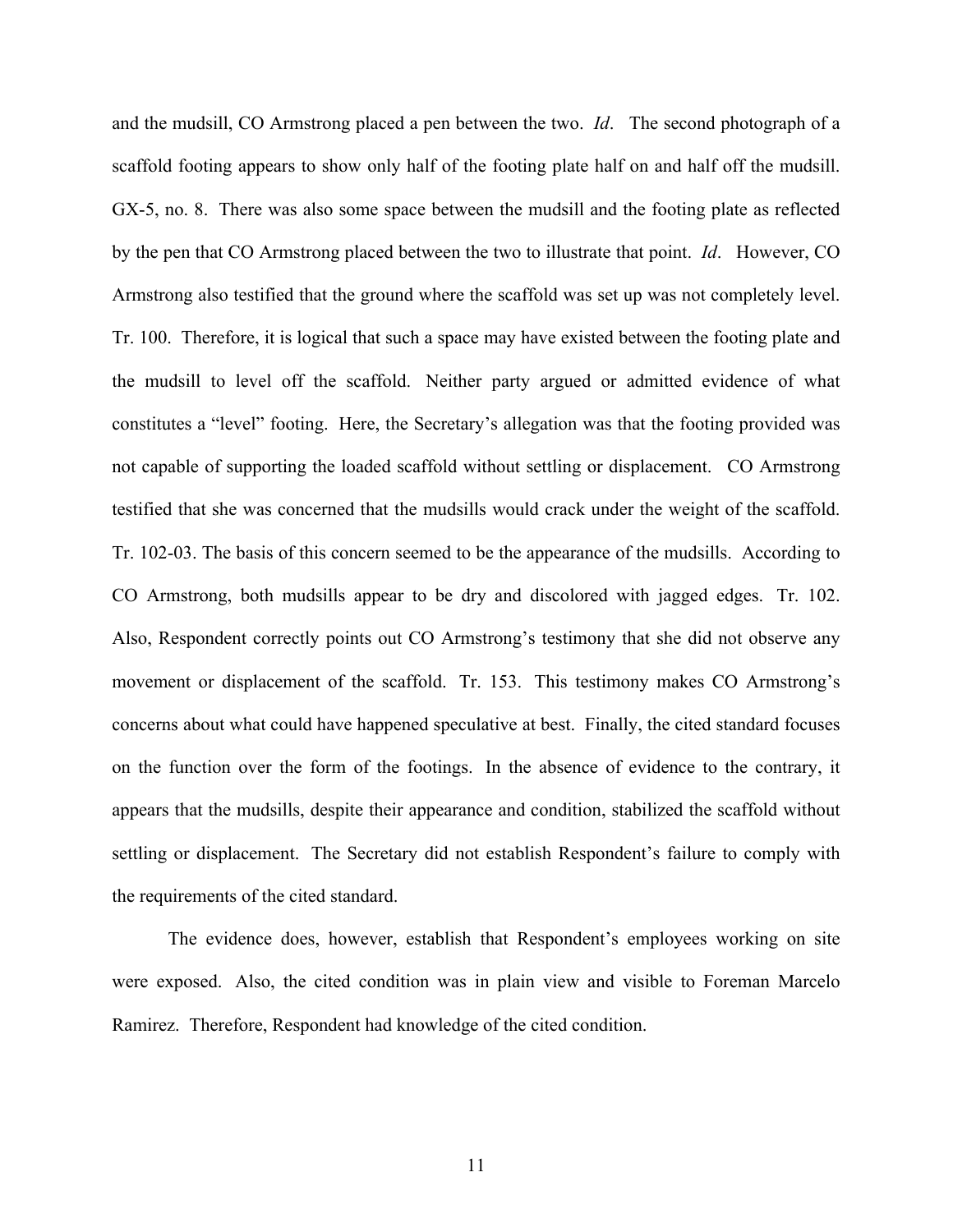and the mudsill, CO Armstrong placed a pen between the two. *Id*. The second photograph of a scaffold footing appears to show only half of the footing plate half on and half off the mudsill. GX-5, no. 8. There was also some space between the mudsill and the footing plate as reflected by the pen that CO Armstrong placed between the two to illustrate that point. *Id*. However, CO Armstrong also testified that the ground where the scaffold was set up was not completely level. Tr. 100. Therefore, it is logical that such a space may have existed between the footing plate and the mudsill to level off the scaffold. Neither party argued or admitted evidence of what constitutes a "level" footing. Here, the Secretary's allegation was that the footing provided was not capable of supporting the loaded scaffold without settling or displacement. CO Armstrong testified that she was concerned that the mudsills would crack under the weight of the scaffold. Tr. 102-03. The basis of this concern seemed to be the appearance of the mudsills. According to CO Armstrong, both mudsills appear to be dry and discolored with jagged edges. Tr. 102. Also, Respondent correctly points out CO Armstrong's testimony that she did not observe any movement or displacement of the scaffold. Tr. 153. This testimony makes CO Armstrong's concerns about what could have happened speculative at best. Finally, the cited standard focuses on the function over the form of the footings. In the absence of evidence to the contrary, it appears that the mudsills, despite their appearance and condition, stabilized the scaffold without settling or displacement. The Secretary did not establish Respondent's failure to comply with the requirements of the cited standard.

The evidence does, however, establish that Respondent's employees working on site were exposed. Also, the cited condition was in plain view and visible to Foreman Marcelo Ramirez. Therefore, Respondent had knowledge of the cited condition.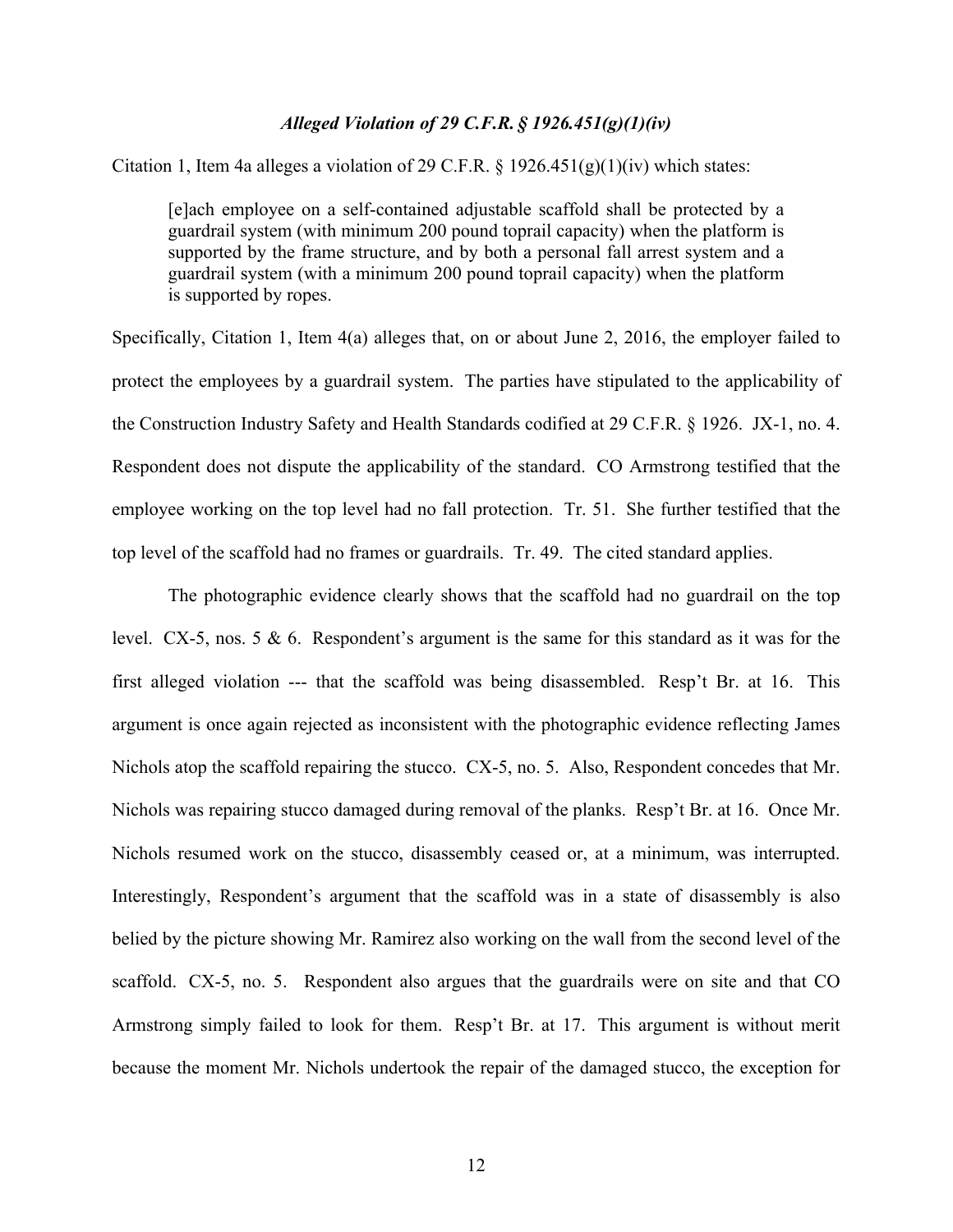### *Alleged Violation of 29 C.F.R. § 1926.451(g)(1)(iv)*

Citation 1, Item 4a alleges a violation of 29 C.F.R.  $\S$  1926.451(g)(1)(iv) which states:

[e]ach employee on a self-contained adjustable scaffold shall be protected by a guardrail system (with minimum 200 pound toprail capacity) when the platform is supported by the frame structure, and by both a personal fall arrest system and a guardrail system (with a minimum 200 pound toprail capacity) when the platform is supported by ropes.

Specifically, Citation 1, Item 4(a) alleges that, on or about June 2, 2016, the employer failed to protect the employees by a guardrail system. The parties have stipulated to the applicability of the Construction Industry Safety and Health Standards codified at 29 C.F.R. § 1926. JX-1, no. 4. Respondent does not dispute the applicability of the standard. CO Armstrong testified that the employee working on the top level had no fall protection. Tr. 51. She further testified that the top level of the scaffold had no frames or guardrails. Tr. 49. The cited standard applies.

The photographic evidence clearly shows that the scaffold had no guardrail on the top level. CX-5, nos. 5 & 6. Respondent's argument is the same for this standard as it was for the first alleged violation --- that the scaffold was being disassembled. Resp't Br. at 16. This argument is once again rejected as inconsistent with the photographic evidence reflecting James Nichols atop the scaffold repairing the stucco. CX-5, no. 5. Also, Respondent concedes that Mr. Nichols was repairing stucco damaged during removal of the planks. Resp't Br. at 16. Once Mr. Nichols resumed work on the stucco, disassembly ceased or, at a minimum, was interrupted. Interestingly, Respondent's argument that the scaffold was in a state of disassembly is also belied by the picture showing Mr. Ramirez also working on the wall from the second level of the scaffold. CX-5, no. 5. Respondent also argues that the guardrails were on site and that CO Armstrong simply failed to look for them. Resp't Br. at 17. This argument is without merit because the moment Mr. Nichols undertook the repair of the damaged stucco, the exception for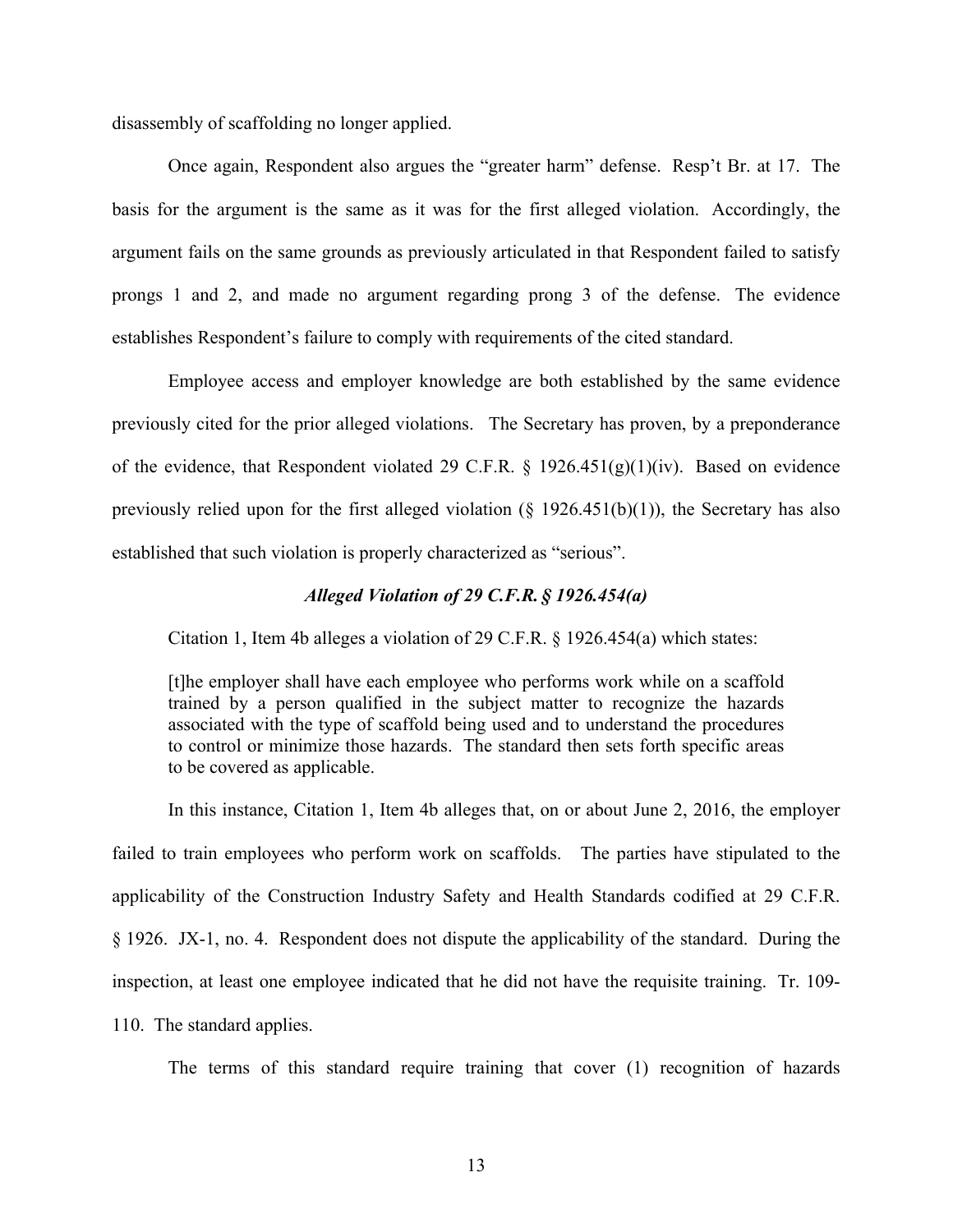disassembly of scaffolding no longer applied.

Once again, Respondent also argues the "greater harm" defense. Resp't Br. at 17. The basis for the argument is the same as it was for the first alleged violation. Accordingly, the argument fails on the same grounds as previously articulated in that Respondent failed to satisfy prongs 1 and 2, and made no argument regarding prong 3 of the defense. The evidence establishes Respondent's failure to comply with requirements of the cited standard.

Employee access and employer knowledge are both established by the same evidence previously cited for the prior alleged violations. The Secretary has proven, by a preponderance of the evidence, that Respondent violated 29 C.F.R. § 1926.451(g)(1)(iv). Based on evidence previously relied upon for the first alleged violation  $(\S 1926.451(b)(1))$ , the Secretary has also established that such violation is properly characterized as "serious".

### *Alleged Violation of 29 C.F.R. § 1926.454(a)*

Citation 1, Item 4b alleges a violation of 29 C.F.R. § 1926.454(a) which states:

[t]he employer shall have each employee who performs work while on a scaffold trained by a person qualified in the subject matter to recognize the hazards associated with the type of scaffold being used and to understand the procedures to control or minimize those hazards. The standard then sets forth specific areas to be covered as applicable.

In this instance, Citation 1, Item 4b alleges that, on or about June 2, 2016, the employer failed to train employees who perform work on scaffolds. The parties have stipulated to the applicability of the Construction Industry Safety and Health Standards codified at 29 C.F.R. § 1926. JX-1, no. 4. Respondent does not dispute the applicability of the standard. During the inspection, at least one employee indicated that he did not have the requisite training. Tr. 109- 110. The standard applies.

The terms of this standard require training that cover (1) recognition of hazards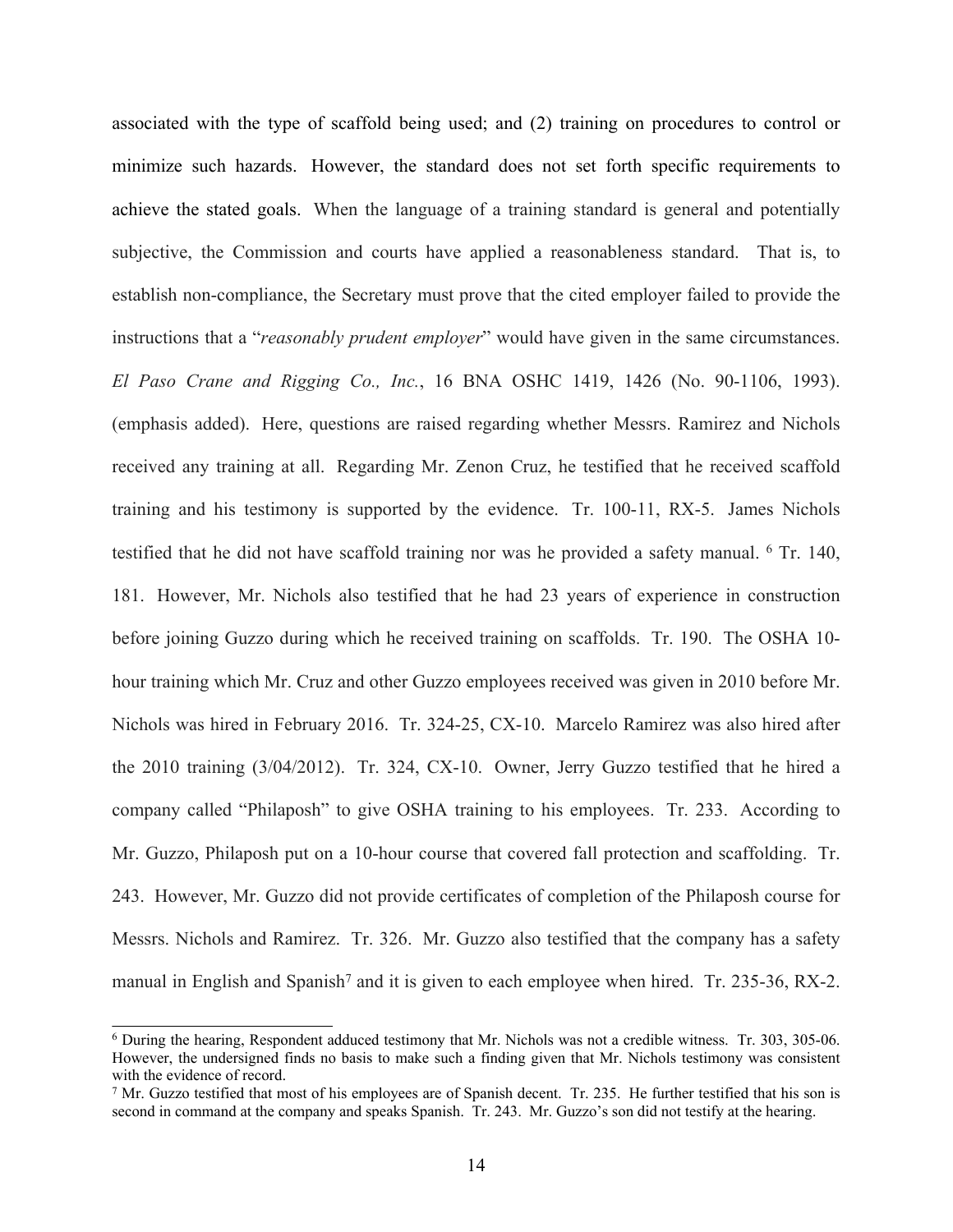associated with the type of scaffold being used; and (2) training on procedures to control or minimize such hazards. However, the standard does not set forth specific requirements to achieve the stated goals. When the language of a training standard is general and potentially subjective, the Commission and courts have applied a reasonableness standard. That is, to establish non-compliance, the Secretary must prove that the cited employer failed to provide the instructions that a "*reasonably prudent employer*" would have given in the same circumstances. *El Paso Crane and Rigging Co., Inc.*, 16 BNA OSHC 1419, 1426 (No. 90-1106, 1993). (emphasis added). Here, questions are raised regarding whether Messrs. Ramirez and Nichols received any training at all. Regarding Mr. Zenon Cruz, he testified that he received scaffold training and his testimony is supported by the evidence. Tr. 100-11, RX-5. James Nichols testified that he did not have scaffold training nor was he provided a safety manual. <sup>6</sup> Tr. 140, 181. However, Mr. Nichols also testified that he had 23 years of experience in construction before joining Guzzo during which he received training on scaffolds. Tr. 190. The OSHA 10 hour training which Mr. Cruz and other Guzzo employees received was given in 2010 before Mr. Nichols was hired in February 2016. Tr. 324-25, CX-10. Marcelo Ramirez was also hired after the 2010 training (3/04/2012). Tr. 324, CX-10. Owner, Jerry Guzzo testified that he hired a company called "Philaposh" to give OSHA training to his employees. Tr. 233. According to Mr. Guzzo, Philaposh put on a 10-hour course that covered fall protection and scaffolding. Tr. 243. However, Mr. Guzzo did not provide certificates of completion of the Philaposh course for Messrs. Nichols and Ramirez. Tr. 326. Mr. Guzzo also testified that the company has a safety manual in English and Spanish<sup>7</sup> and it is given to each employee when hired. Tr. 235-36, RX-2.

<sup>6</sup> During the hearing, Respondent adduced testimony that Mr. Nichols was not a credible witness. Tr. 303, 305-06. However, the undersigned finds no basis to make such a finding given that Mr. Nichols testimony was consistent with the evidence of record.

<sup>7</sup> Mr. Guzzo testified that most of his employees are of Spanish decent. Tr. 235. He further testified that his son is second in command at the company and speaks Spanish. Tr. 243. Mr. Guzzo's son did not testify at the hearing.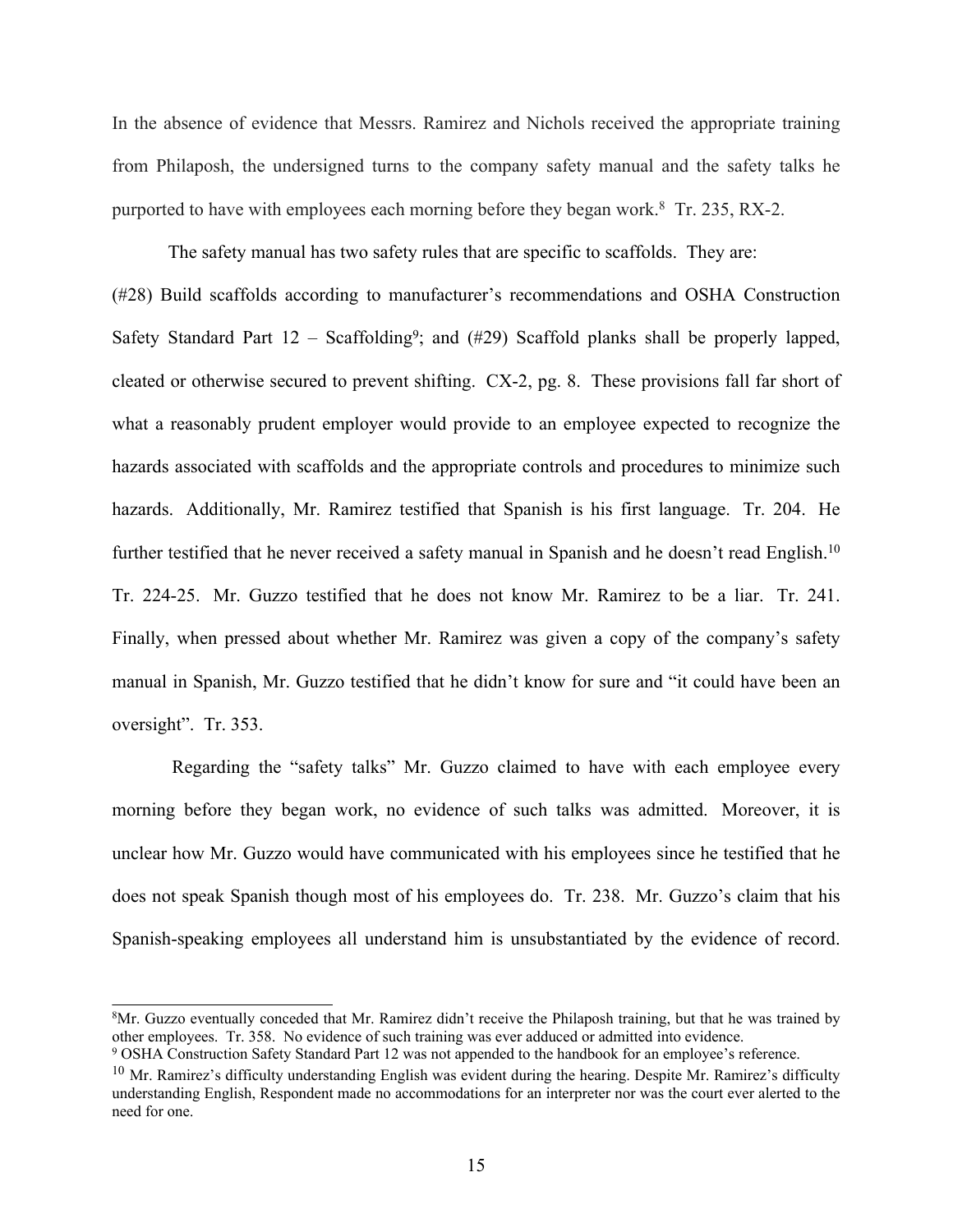In the absence of evidence that Messrs. Ramirez and Nichols received the appropriate training from Philaposh, the undersigned turns to the company safety manual and the safety talks he purported to have with employees each morning before they began work.<sup>8</sup> Tr. 235, RX-2.

The safety manual has two safety rules that are specific to scaffolds. They are: (#28) Build scaffolds according to manufacturer's recommendations and OSHA Construction Safety Standard Part  $12$  – Scaffolding<sup>9</sup>; and  $(#29)$  Scaffold planks shall be properly lapped, cleated or otherwise secured to prevent shifting. CX-2, pg. 8. These provisions fall far short of what a reasonably prudent employer would provide to an employee expected to recognize the hazards associated with scaffolds and the appropriate controls and procedures to minimize such hazards. Additionally, Mr. Ramirez testified that Spanish is his first language. Tr. 204. He further testified that he never received a safety manual in Spanish and he doesn't read English.<sup>10</sup> Tr. 224-25. Mr. Guzzo testified that he does not know Mr. Ramirez to be a liar. Tr. 241. Finally, when pressed about whether Mr. Ramirez was given a copy of the company's safety manual in Spanish, Mr. Guzzo testified that he didn't know for sure and "it could have been an oversight". Tr. 353.

Regarding the "safety talks" Mr. Guzzo claimed to have with each employee every morning before they began work, no evidence of such talks was admitted. Moreover, it is unclear how Mr. Guzzo would have communicated with his employees since he testified that he does not speak Spanish though most of his employees do. Tr. 238. Mr. Guzzo's claim that his Spanish-speaking employees all understand him is unsubstantiated by the evidence of record.

<sup>8</sup>Mr. Guzzo eventually conceded that Mr. Ramirez didn't receive the Philaposh training, but that he was trained by other employees. Tr. 358. No evidence of such training was ever adduced or admitted into evidence.

<sup>9</sup> OSHA Construction Safety Standard Part 12 was not appended to the handbook for an employee's reference.

 $10$  Mr. Ramirez's difficulty understanding English was evident during the hearing. Despite Mr. Ramirez's difficulty understanding English, Respondent made no accommodations for an interpreter nor was the court ever alerted to the need for one.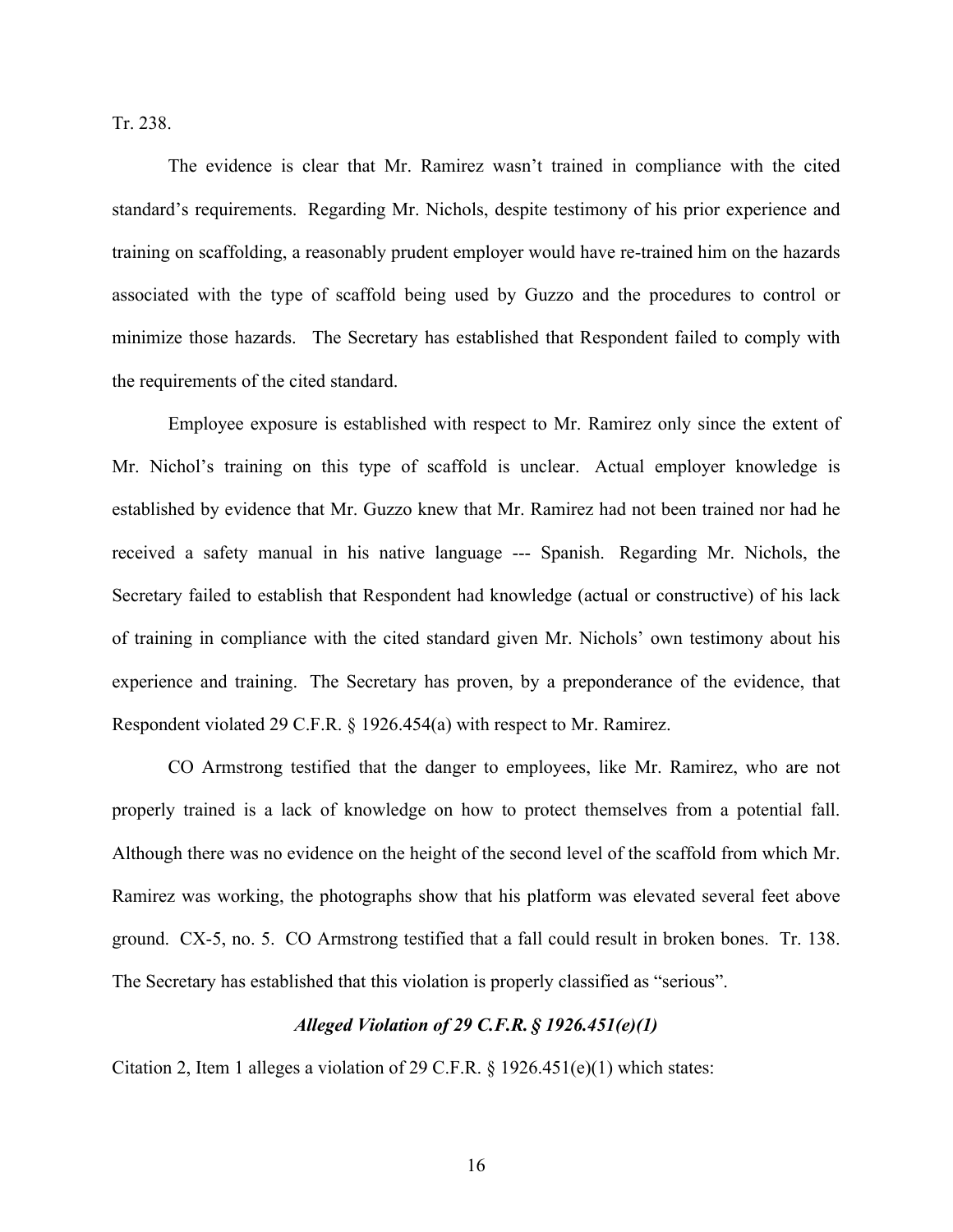Tr. 238.

The evidence is clear that Mr. Ramirez wasn't trained in compliance with the cited standard's requirements. Regarding Mr. Nichols, despite testimony of his prior experience and training on scaffolding, a reasonably prudent employer would have re-trained him on the hazards associated with the type of scaffold being used by Guzzo and the procedures to control or minimize those hazards. The Secretary has established that Respondent failed to comply with the requirements of the cited standard.

Employee exposure is established with respect to Mr. Ramirez only since the extent of Mr. Nichol's training on this type of scaffold is unclear. Actual employer knowledge is established by evidence that Mr. Guzzo knew that Mr. Ramirez had not been trained nor had he received a safety manual in his native language --- Spanish. Regarding Mr. Nichols, the Secretary failed to establish that Respondent had knowledge (actual or constructive) of his lack of training in compliance with the cited standard given Mr. Nichols' own testimony about his experience and training. The Secretary has proven, by a preponderance of the evidence, that Respondent violated 29 C.F.R. § 1926.454(a) with respect to Mr. Ramirez.

CO Armstrong testified that the danger to employees, like Mr. Ramirez, who are not properly trained is a lack of knowledge on how to protect themselves from a potential fall. Although there was no evidence on the height of the second level of the scaffold from which Mr. Ramirez was working, the photographs show that his platform was elevated several feet above ground. CX-5, no. 5. CO Armstrong testified that a fall could result in broken bones. Tr. 138. The Secretary has established that this violation is properly classified as "serious".

### *Alleged Violation of 29 C.F.R. § 1926.451(e)(1)*

Citation 2, Item 1 alleges a violation of 29 C.F.R.  $\S$  1926.451(e)(1) which states: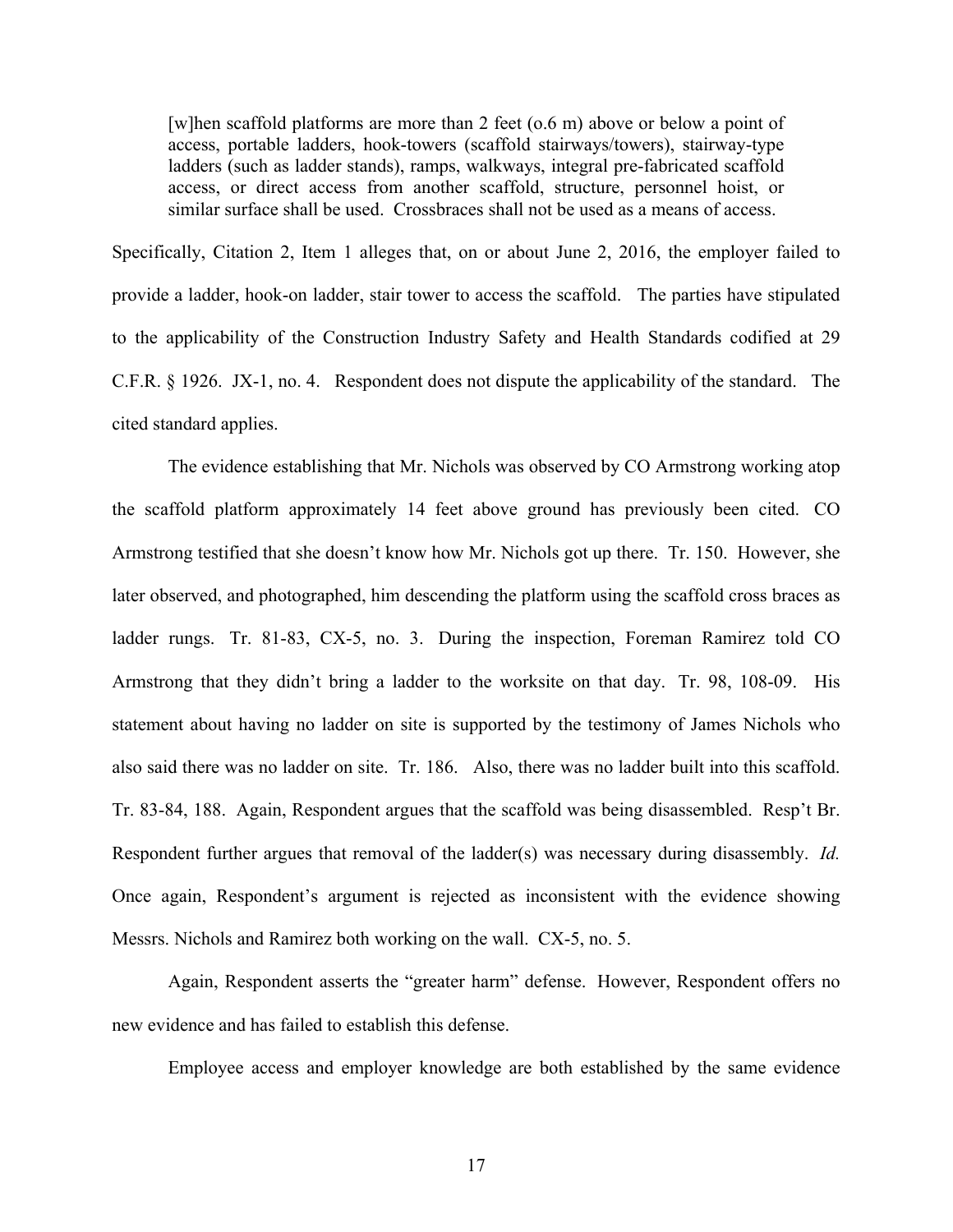[w]hen scaffold platforms are more than 2 feet (o.6 m) above or below a point of access, portable ladders, hook-towers (scaffold stairways/towers), stairway-type ladders (such as ladder stands), ramps, walkways, integral pre-fabricated scaffold access, or direct access from another scaffold, structure, personnel hoist, or similar surface shall be used. Crossbraces shall not be used as a means of access.

Specifically, Citation 2, Item 1 alleges that, on or about June 2, 2016, the employer failed to provide a ladder, hook-on ladder, stair tower to access the scaffold. The parties have stipulated to the applicability of the Construction Industry Safety and Health Standards codified at 29 C.F.R. § 1926. JX-1, no. 4. Respondent does not dispute the applicability of the standard. The cited standard applies.

The evidence establishing that Mr. Nichols was observed by CO Armstrong working atop the scaffold platform approximately 14 feet above ground has previously been cited. CO Armstrong testified that she doesn't know how Mr. Nichols got up there. Tr. 150. However, she later observed, and photographed, him descending the platform using the scaffold cross braces as ladder rungs. Tr. 81-83, CX-5, no. 3. During the inspection, Foreman Ramirez told CO Armstrong that they didn't bring a ladder to the worksite on that day. Tr. 98, 108-09. His statement about having no ladder on site is supported by the testimony of James Nichols who also said there was no ladder on site. Tr. 186. Also, there was no ladder built into this scaffold. Tr. 83-84, 188. Again, Respondent argues that the scaffold was being disassembled. Resp't Br. Respondent further argues that removal of the ladder(s) was necessary during disassembly. *Id.* Once again, Respondent's argument is rejected as inconsistent with the evidence showing Messrs. Nichols and Ramirez both working on the wall. CX-5, no. 5.

Again, Respondent asserts the "greater harm" defense. However, Respondent offers no new evidence and has failed to establish this defense.

Employee access and employer knowledge are both established by the same evidence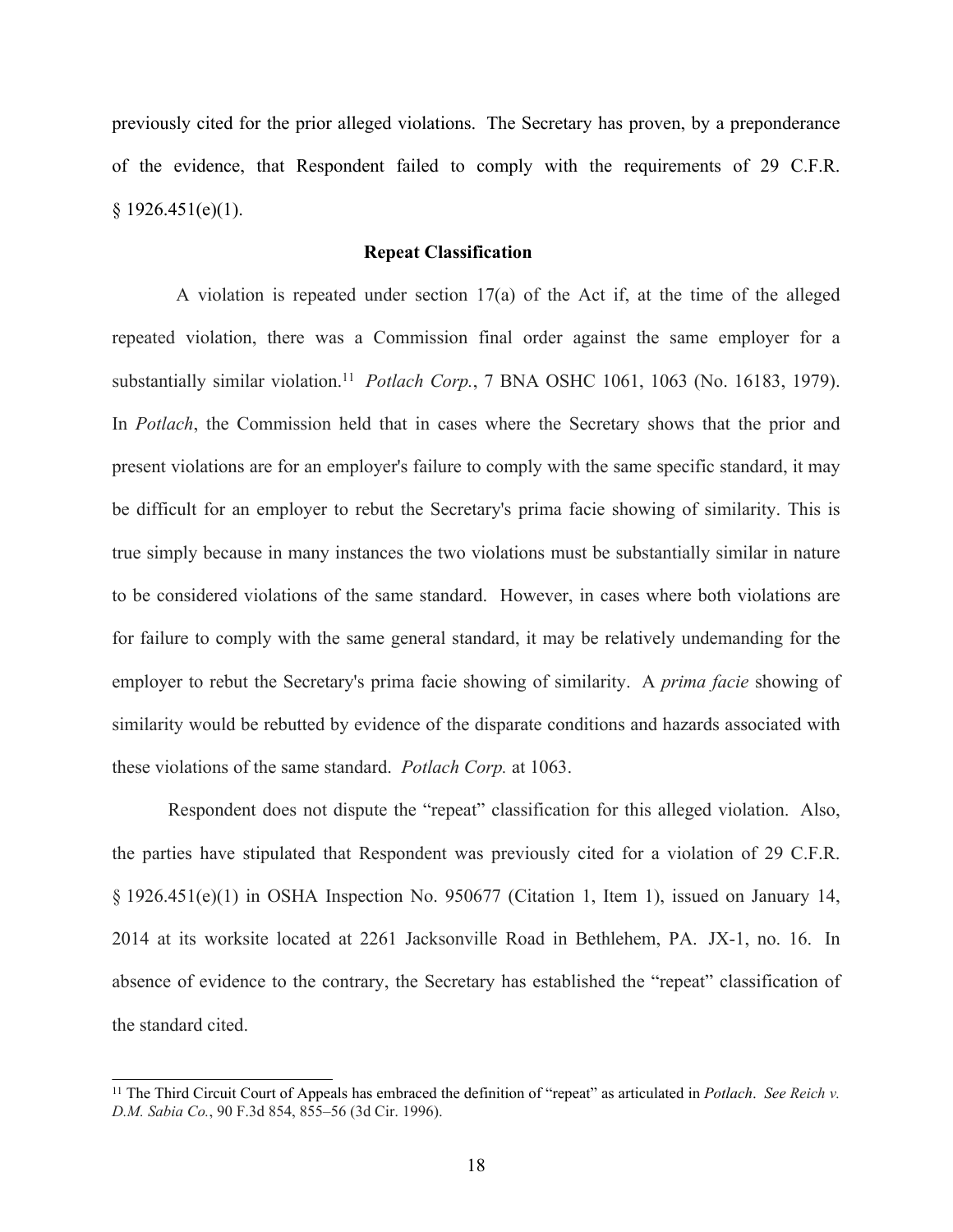previously cited for the prior alleged violations. The Secretary has proven, by a preponderance of the evidence, that Respondent failed to comply with the requirements of 29 C.F.R.  $§ 1926.451(e)(1).$ 

## **Repeat Classification**

A violation is repeated under section 17(a) of the Act if, at the time of the alleged repeated violation, there was a Commission final order against the same employer for a substantially similar violation.<sup>11</sup> *Potlach Corp.*, 7 BNA OSHC 1061, 1063 (No. 16183, 1979). In *Potlach*, the Commission held that in cases where the Secretary shows that the prior and present violations are for an employer's failure to comply with the same specific standard, it may be difficult for an employer to rebut the Secretary's prima facie showing of similarity. This is true simply because in many instances the two violations must be substantially similar in nature to be considered violations of the same standard. However, in cases where both violations are for failure to comply with the same general standard, it may be relatively undemanding for the employer to rebut the Secretary's prima facie showing of similarity. A *prima facie* showing of similarity would be rebutted by evidence of the disparate conditions and hazards associated with these violations of the same standard. *Potlach Corp.* at 1063.

Respondent does not dispute the "repeat" classification for this alleged violation. Also, the parties have stipulated that Respondent was previously cited for a violation of 29 C.F.R. § 1926.451(e)(1) in OSHA Inspection No. 950677 (Citation 1, Item 1), issued on January 14, 2014 at its worksite located at 2261 Jacksonville Road in Bethlehem, PA. JX-1, no. 16. In absence of evidence to the contrary, the Secretary has established the "repeat" classification of the standard cited.

<sup>11</sup> The Third Circuit Court of Appeals has embraced the definition of "repeat" as articulated in *Potlach*. *See Reich v. D.M. Sabia Co.*, 90 F.3d 854, 855–56 (3d Cir. 1996).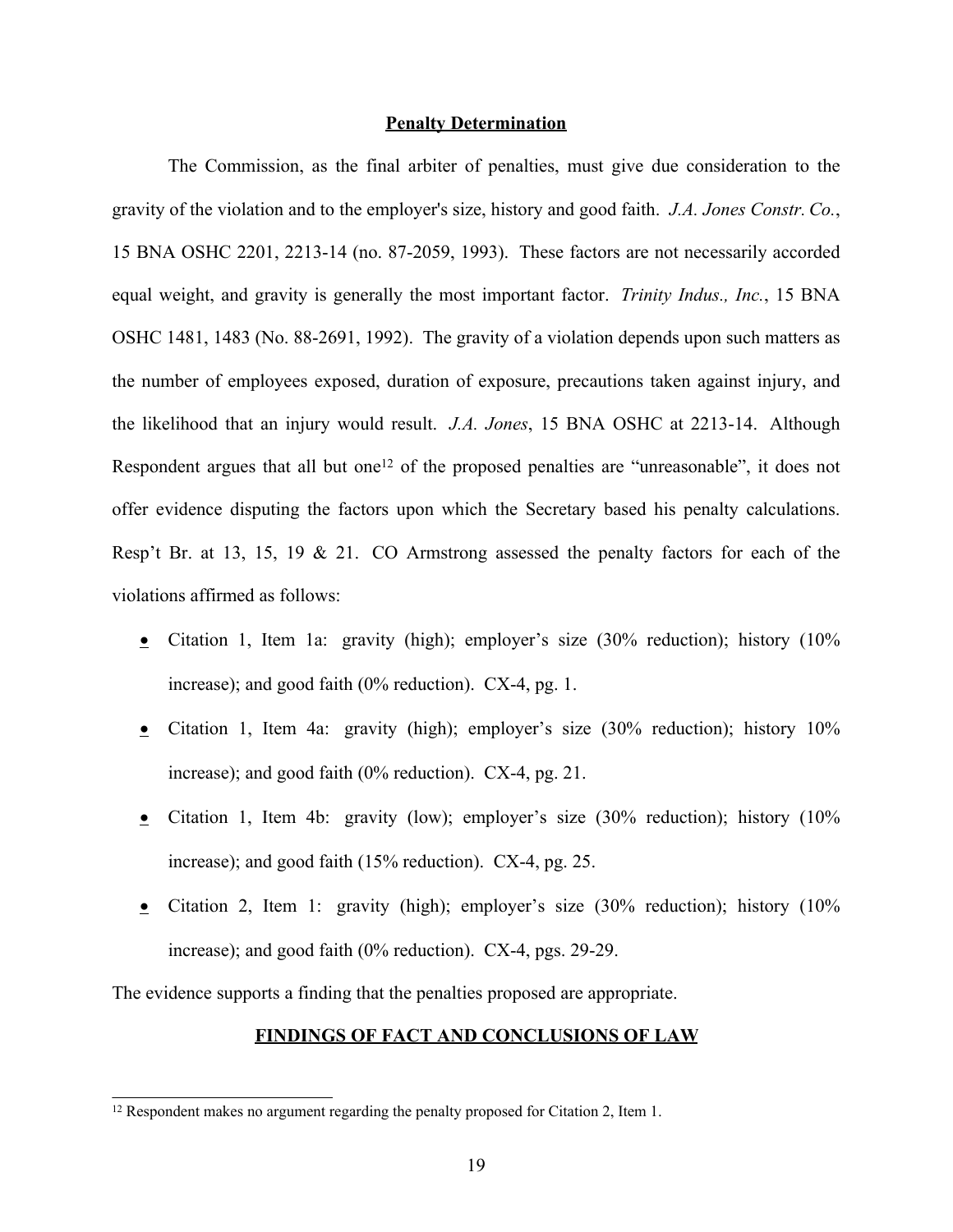### **Penalty Determination**

The Commission, as the final arbiter of penalties, must give due consideration to the gravity of the violation and to the employer's size, history and good faith. *J.A. Jones Constr. Co.*, 15 BNA OSHC 2201, 2213-14 (no. 87-2059, 1993). These factors are not necessarily accorded equal weight, and gravity is generally the most important factor. *Trinity Indus., Inc.*, 15 BNA OSHC 1481, 1483 (No. 88-2691, 1992). The gravity of a violation depends upon such matters as the number of employees exposed, duration of exposure, precautions taken against injury, and the likelihood that an injury would result. *J.A. Jones*, 15 BNA OSHC at 2213-14. Although Respondent argues that all but one<sup>12</sup> of the proposed penalties are "unreasonable", it does not offer evidence disputing the factors upon which the Secretary based his penalty calculations. Resp't Br. at 13, 15, 19 & 21. CO Armstrong assessed the penalty factors for each of the violations affirmed as follows:

- Citation 1, Item 1a: gravity (high); employer's size (30% reduction); history (10% increase); and good faith (0% reduction). CX-4, pg. 1.
- Citation 1, Item 4a: gravity (high); employer's size (30% reduction); history 10% increase); and good faith (0% reduction). CX-4, pg. 21.
- Citation 1, Item 4b: gravity (low); employer's size (30% reduction); history (10% increase); and good faith (15% reduction). CX-4, pg. 25.
- Citation 2, Item 1: gravity (high); employer's size (30% reduction); history (10% increase); and good faith (0% reduction). CX-4, pgs. 29-29.

The evidence supports a finding that the penalties proposed are appropriate.

# **FINDINGS OF FACT AND CONCLUSIONS OF LAW**

<sup>&</sup>lt;sup>12</sup> Respondent makes no argument regarding the penalty proposed for Citation 2, Item 1.